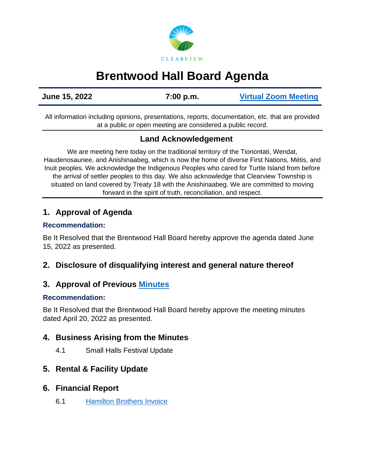

# **Brentwood Hall Board Agenda**

**June 15, 2022 7:00 p.m. [Virtual Zoom Meeting](https://us02web.zoom.us/j/89204076714)**

All information including opinions, presentations, reports, documentation, etc. that are provided at a public or open meeting are considered a public record.

## **Land Acknowledgement**

We are meeting here today on the traditional territory of the Tionontati, Wendat, Haudenosaunee, and Anishinaabeg, which is now the home of diverse First Nations, Métis, and Inuit peoples. We acknowledge the Indigenous Peoples who cared for Turtle Island from before the arrival of settler peoples to this day. We also acknowledge that Clearview Township is situated on land covered by Treaty 18 with the Anishinaabeg. We are committed to moving forward in the spirit of truth, reconciliation, and respect.

# **1. Approval of Agenda**

#### **Recommendation:**

Be It Resolved that the Brentwood Hall Board hereby approve the agenda dated June 15, 2022 as presented.

# **2. Disclosure of disqualifying interest and general nature thereof**

# **3. Approval of Previous [Minutes](https://www.clearview.ca/sites/default/files/uploads/publications/2022-04-20_brentwood_hall_board_meeting_minutes_0.pdf)**

#### **Recommendation:**

Be It Resolved that the Brentwood Hall Board hereby approve the meeting minutes dated April 20, 2022 as presented.

# **4. Business Arising from the Minutes**

4.1 Small Halls Festival Update

### **5. Rental & Facility Update**

### **6. Financial Report**

6.1 [Hamilton Brothers Invoice](https://www.clearview.ca/sites/default/files/uploads/publications/hamilton_bros._fuels.pdf)